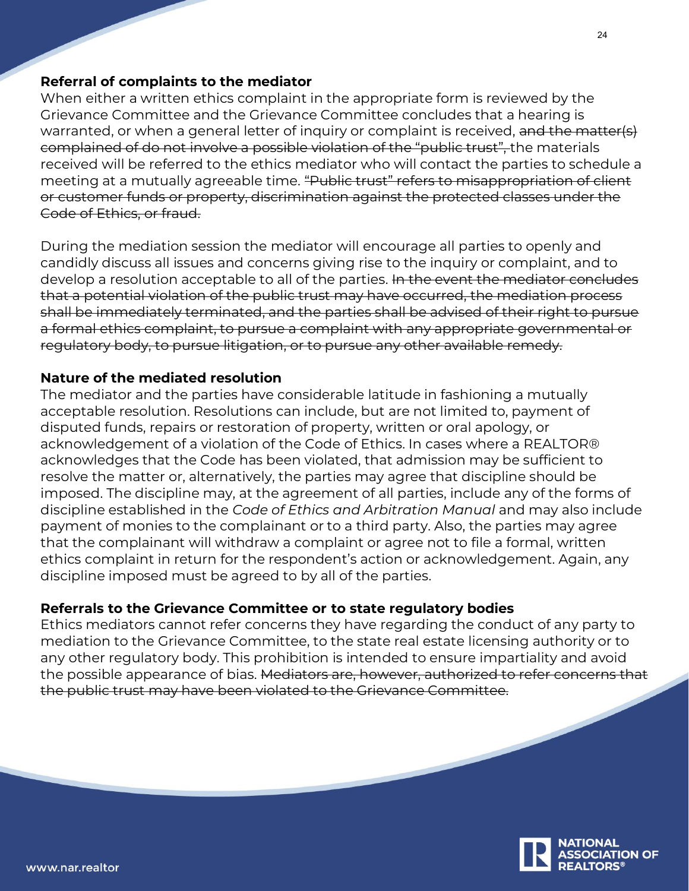## **Referral of complaints to the mediator**

When either a written ethics complaint in the appropriate form is reviewed by the Grievance Committee and the Grievance Committee concludes that a hearing is warranted, or when a general letter of inquiry or complaint is received, and the matter(s) complained of do not involve a possible violation of the "public trust", the materials received will be referred to the ethics mediator who will contact the parties to schedule a meeting at a mutually agreeable time. "Public trust" refers to misappropriation of client or customer funds or property, discrimination against the protected classes under the Code of Ethics, or fraud.

During the mediation session the mediator will encourage all parties to openly and candidly discuss all issues and concerns giving rise to the inquiry or complaint, and to develop a resolution acceptable to all of the parties. In the event the mediator concludes that a potential violation of the public trust may have occurred, the mediation process shall be immediately terminated, and the parties shall be advised of their right to pursue a formal ethics complaint, to pursue a complaint with any appropriate governmental or regulatory body, to pursue litigation, or to pursue any other available remedy.

## **Nature of the mediated resolution**

The mediator and the parties have considerable latitude in fashioning a mutually acceptable resolution. Resolutions can include, but are not limited to, payment of disputed funds, repairs or restoration of property, written or oral apology, or acknowledgement of a violation of the Code of Ethics. In cases where a REALTOR® acknowledges that the Code has been violated, that admission may be sufficient to resolve the matter or, alternatively, the parties may agree that discipline should be imposed. The discipline may, at the agreement of all parties, include any of the forms of discipline established in the *Code of Ethics and Arbitration Manual* and may also include payment of monies to the complainant or to a third party. Also, the parties may agree that the complainant will withdraw a complaint or agree not to file a formal, written ethics complaint in return for the respondent's action or acknowledgement. Again, any discipline imposed must be agreed to by all of the parties.

## **Referrals to the Grievance Committee or to state regulatory bodies**

Ethics mediators cannot refer concerns they have regarding the conduct of any party to mediation to the Grievance Committee, to the state real estate licensing authority or to any other regulatory body. This prohibition is intended to ensure impartiality and avoid the possible appearance of bias. Mediators are, however, authorized to refer concerns that the public trust may have been violated to the Grievance Committee.

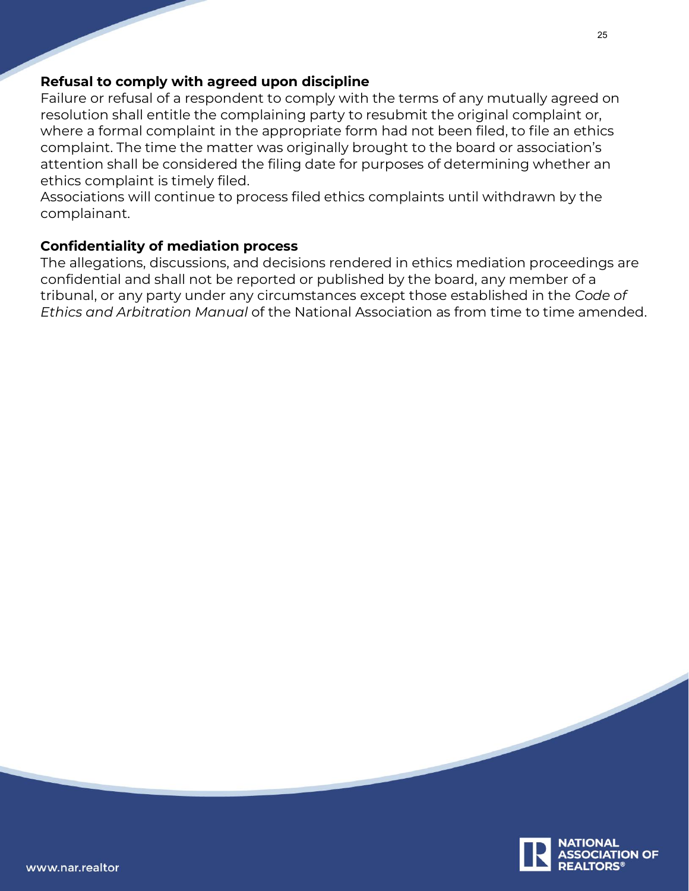## **Refusal to comply with agreed upon discipline**

Failure or refusal of a respondent to comply with the terms of any mutually agreed on resolution shall entitle the complaining party to resubmit the original complaint or, where a formal complaint in the appropriate form had not been filed, to file an ethics complaint. The time the matter was originally brought to the board or association's attention shall be considered the filing date for purposes of determining whether an ethics complaint is timely filed.

Associations will continue to process filed ethics complaints until withdrawn by the complainant.

## **Confidentiality of mediation process**

The allegations, discussions, and decisions rendered in ethics mediation proceedings are confidential and shall not be reported or published by the board, any member of a tribunal, or any party under any circumstances except those established in the *Code of Ethics and Arbitration Manual* of the National Association as from time to time amended.

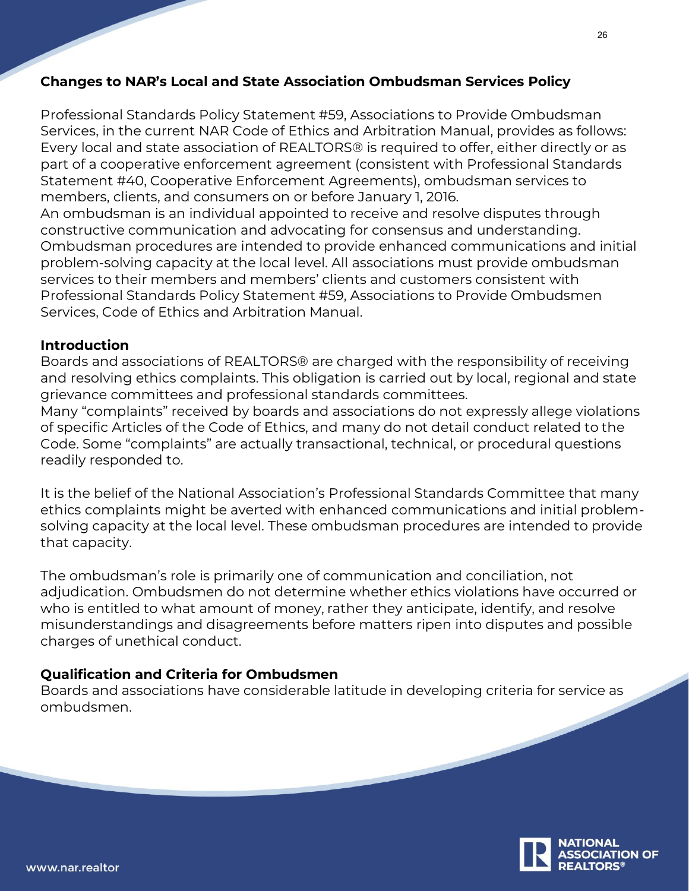## **Changes to NAR's Local and State Association Ombudsman Services Policy**

Professional Standards Policy Statement #59, Associations to Provide Ombudsman Services, in the current NAR Code of Ethics and Arbitration Manual, provides as follows: Every local and state association of REALTORS® is required to offer, either directly or as part of a cooperative enforcement agreement (consistent with Professional Standards Statement #40, Cooperative Enforcement Agreements), ombudsman services to members, clients, and consumers on or before January 1, 2016.

An ombudsman is an individual appointed to receive and resolve disputes through constructive communication and advocating for consensus and understanding. Ombudsman procedures are intended to provide enhanced communications and initial problem-solving capacity at the local level. All associations must provide ombudsman services to their members and members' clients and customers consistent with Professional Standards Policy Statement #59, Associations to Provide Ombudsmen Services, Code of Ethics and Arbitration Manual.

## **Introduction**

Boards and associations of REALTORS® are charged with the responsibility of receiving and resolving ethics complaints. This obligation is carried out by local, regional and state grievance committees and professional standards committees.

Many "complaints" received by boards and associations do not expressly allege violations of specific Articles of the Code of Ethics, and many do not detail conduct related to the Code. Some "complaints" are actually transactional, technical, or procedural questions readily responded to.

It is the belief of the National Association's Professional Standards Committee that many ethics complaints might be averted with enhanced communications and initial problemsolving capacity at the local level. These ombudsman procedures are intended to provide that capacity.

The ombudsman's role is primarily one of communication and conciliation, not adjudication. Ombudsmen do not determine whether ethics violations have occurred or who is entitled to what amount of money, rather they anticipate, identify, and resolve misunderstandings and disagreements before matters ripen into disputes and possible charges of unethical conduct.

## **Qualification and Criteria for Ombudsmen**

Boards and associations have considerable latitude in developing criteria for service as ombudsmen.

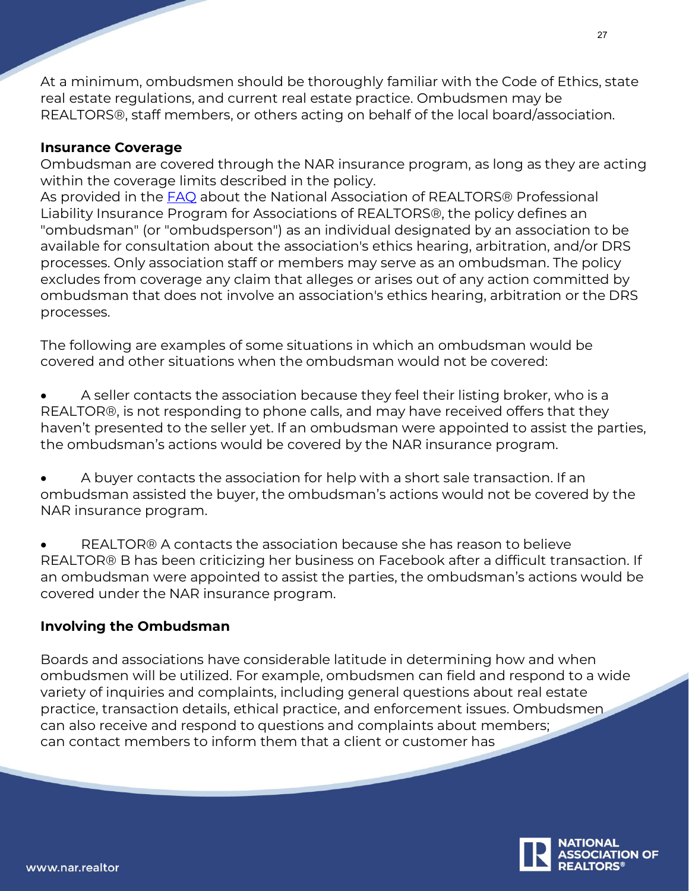At a minimum, ombudsmen should be thoroughly familiar with the Code of Ethics, state real estate regulations, and current real estate practice. Ombudsmen may be REALTORS®, staff members, or others acting on behalf of the local board/association.

## **Insurance Coverage**

Ombudsman are covered through the NAR insurance program, as long as they are acting within the coverage limits described in the policy.

As provided in the **[FAQ](https://www.nar.realtor/programs/nar-insurance-program/faq)** about the National Association of REALTORS® Professional Liability Insurance Program for Associations of REALTORS®, the policy defines an "ombudsman" (or "ombudsperson") as an individual designated by an association to be available for consultation about the association's ethics hearing, arbitration, and/or DRS processes. Only association staff or members may serve as an ombudsman. The policy excludes from coverage any claim that alleges or arises out of any action committed by ombudsman that does not involve an association's ethics hearing, arbitration or the DRS processes.

The following are examples of some situations in which an ombudsman would be covered and other situations when the ombudsman would not be covered:

• A seller contacts the association because they feel their listing broker, who is a REALTOR®, is not responding to phone calls, and may have received offers that they haven't presented to the seller yet. If an ombudsman were appointed to assist the parties, the ombudsman's actions would be covered by the NAR insurance program.

• A buyer contacts the association for help with a short sale transaction. If an ombudsman assisted the buyer, the ombudsman's actions would not be covered by the NAR insurance program.

• REALTOR® A contacts the association because she has reason to believe REALTOR® B has been criticizing her business on Facebook after a difficult transaction. If an ombudsman were appointed to assist the parties, the ombudsman's actions would be covered under the NAR insurance program.

## **Involving the Ombudsman**

Boards and associations have considerable latitude in determining how and when ombudsmen will be utilized. For example, ombudsmen can field and respond to a wide variety of inquiries and complaints, including general questions about real estate practice, transaction details, ethical practice, and enforcement issues. Ombudsmen can also receive and respond to questions and complaints about members; can contact members to inform them that a client or customer has

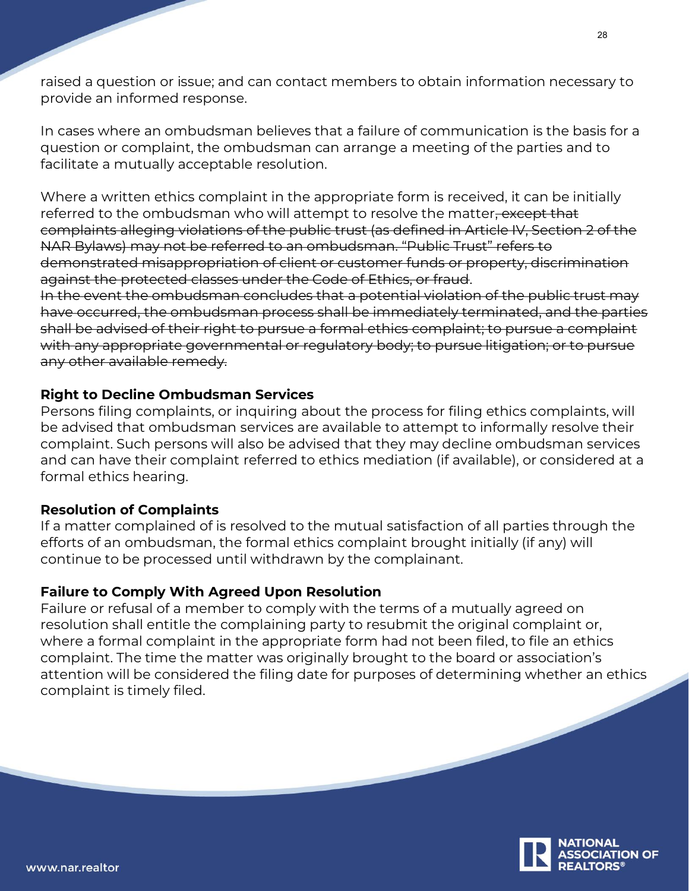raised a question or issue; and can contact members to obtain information necessary to provide an informed response.

In cases where an ombudsman believes that a failure of communication is the basis for a question or complaint, the ombudsman can arrange a meeting of the parties and to facilitate a mutually acceptable resolution.

Where a written ethics complaint in the appropriate form is received, it can be initially referred to the ombudsman who will attempt to resolve the matter, except that complaints alleging violations of the public trust (as defined in Article IV, Section 2 of the NAR Bylaws) may not be referred to an ombudsman. "Public Trust" refers to demonstrated misappropriation of client or customer funds or property, discrimination against the protected classes under the Code of Ethics, or fraud.

In the event the ombudsman concludes that a potential violation of the public trust may have occurred, the ombudsman process shall be immediately terminated, and the parties shall be advised of their right to pursue a formal ethics complaint; to pursue a complaint with any appropriate governmental or regulatory body; to pursue litigation; or to pursue any other available remedy.

## **Right to Decline Ombudsman Services**

Persons filing complaints, or inquiring about the process for filing ethics complaints, will be advised that ombudsman services are available to attempt to informally resolve their complaint. Such persons will also be advised that they may decline ombudsman services and can have their complaint referred to ethics mediation (if available), or considered at a formal ethics hearing.

## **Resolution of Complaints**

If a matter complained of is resolved to the mutual satisfaction of all parties through the efforts of an ombudsman, the formal ethics complaint brought initially (if any) will continue to be processed until withdrawn by the complainant.

## **Failure to Comply With Agreed Upon Resolution**

Failure or refusal of a member to comply with the terms of a mutually agreed on resolution shall entitle the complaining party to resubmit the original complaint or, where a formal complaint in the appropriate form had not been filed, to file an ethics complaint. The time the matter was originally brought to the board or association's attention will be considered the filing date for purposes of determining whether an ethics complaint is timely filed.

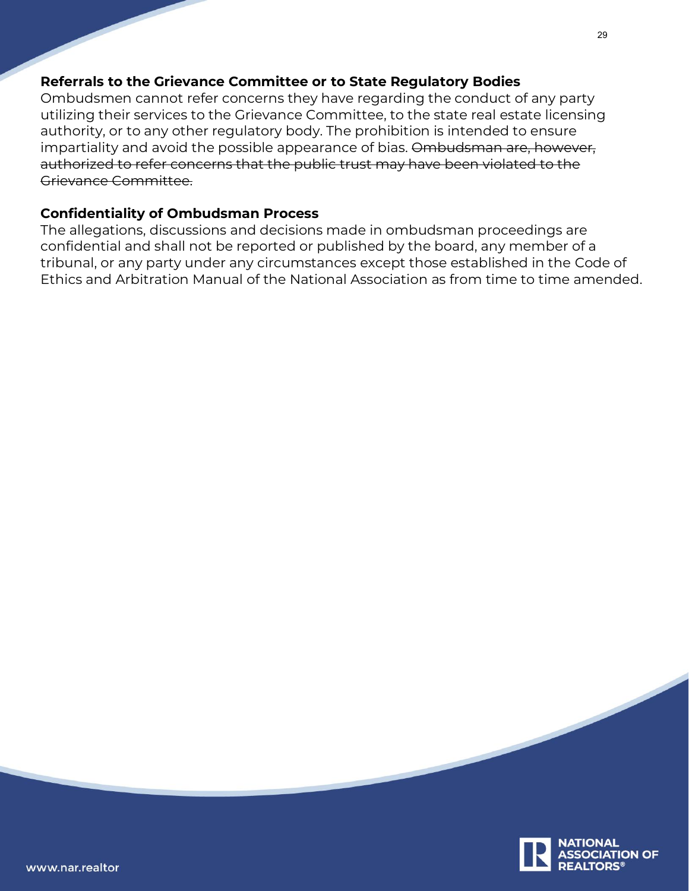## **Referrals to the Grievance Committee or to State Regulatory Bodies**

Ombudsmen cannot refer concerns they have regarding the conduct of any party utilizing their services to the Grievance Committee, to the state real estate licensing authority, or to any other regulatory body. The prohibition is intended to ensure impartiality and avoid the possible appearance of bias. Ombudsman are, however, authorized to refer concerns that the public trust may have been violated to the Grievance Committee.

## **Confidentiality of Ombudsman Process**

The allegations, discussions and decisions made in ombudsman proceedings are confidential and shall not be reported or published by the board, any member of a tribunal, or any party under any circumstances except those established in the Code of Ethics and Arbitration Manual of the National Association as from time to time amended.

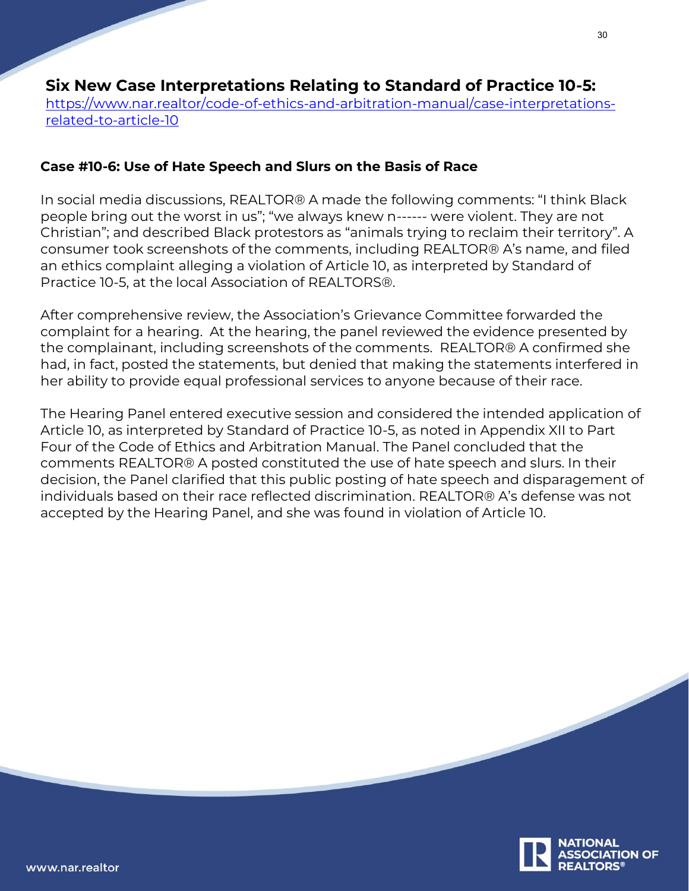## **Six New Case Interpretations Relating to Standard of Practice 10-5:**

[https://www.nar.realtor/code-of-ethics-and-arbitration-manual/case-interpretations](https://www.nar.realtor/code-of-ethics-and-arbitration-manual/case-interpretations-related-to-article-10)[related-to-article-10](https://www.nar.realtor/code-of-ethics-and-arbitration-manual/case-interpretations-related-to-article-10)

## **Case #10-6: Use of Hate Speech and Slurs on the Basis of Race**

In social media discussions, REALTOR® A made the following comments: "I think Black people bring out the worst in us"; "we always knew n------ were violent. They are not Christian"; and described Black protestors as "animals trying to reclaim their territory". A consumer took screenshots of the comments, including REALTOR® A's name, and filed an ethics complaint alleging a violation of Article 10, as interpreted by Standard of Practice 10-5, at the local Association of REALTORS®.

After comprehensive review, the Association's Grievance Committee forwarded the complaint for a hearing. At the hearing, the panel reviewed the evidence presented by the complainant, including screenshots of the comments. REALTOR® A confirmed she had, in fact, posted the statements, but denied that making the statements interfered in her ability to provide equal professional services to anyone because of their race.

The Hearing Panel entered executive session and considered the intended application of Article 10, as interpreted by Standard of Practice 10-5, as noted in Appendix XII to Part Four of the Code of Ethics and Arbitration Manual. The Panel concluded that the comments REALTOR® A posted constituted the use of hate speech and slurs. In their decision, the Panel clarified that this public posting of hate speech and disparagement of individuals based on their race reflected discrimination. REALTOR® A's defense was not accepted by the Hearing Panel, and she was found in violation of Article 10.

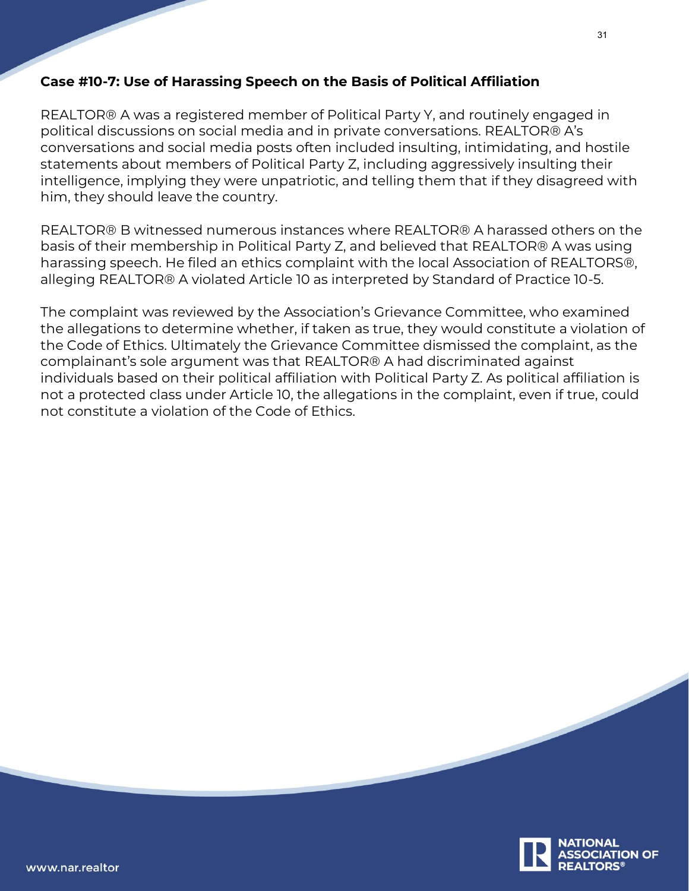## **Case #10-7: Use of Harassing Speech on the Basis of Political Affiliation**

REALTOR® A was a registered member of Political Party Y, and routinely engaged in political discussions on social media and in private conversations. REALTOR® A's conversations and social media posts often included insulting, intimidating, and hostile statements about members of Political Party Z, including aggressively insulting their intelligence, implying they were unpatriotic, and telling them that if they disagreed with him, they should leave the country.

REALTOR® B witnessed numerous instances where REALTOR® A harassed others on the basis of their membership in Political Party Z, and believed that REALTOR® A was using harassing speech. He filed an ethics complaint with the local Association of REALTORS®, alleging REALTOR® A violated Article 10 as interpreted by Standard of Practice 10-5.

The complaint was reviewed by the Association's Grievance Committee, who examined the allegations to determine whether, if taken as true, they would constitute a violation of the Code of Ethics. Ultimately the Grievance Committee dismissed the complaint, as the complainant's sole argument was that REALTOR® A had discriminated against individuals based on their political affiliation with Political Party Z. As political affiliation is not a protected class under Article 10, the allegations in the complaint, even if true, could not constitute a violation of the Code of Ethics.

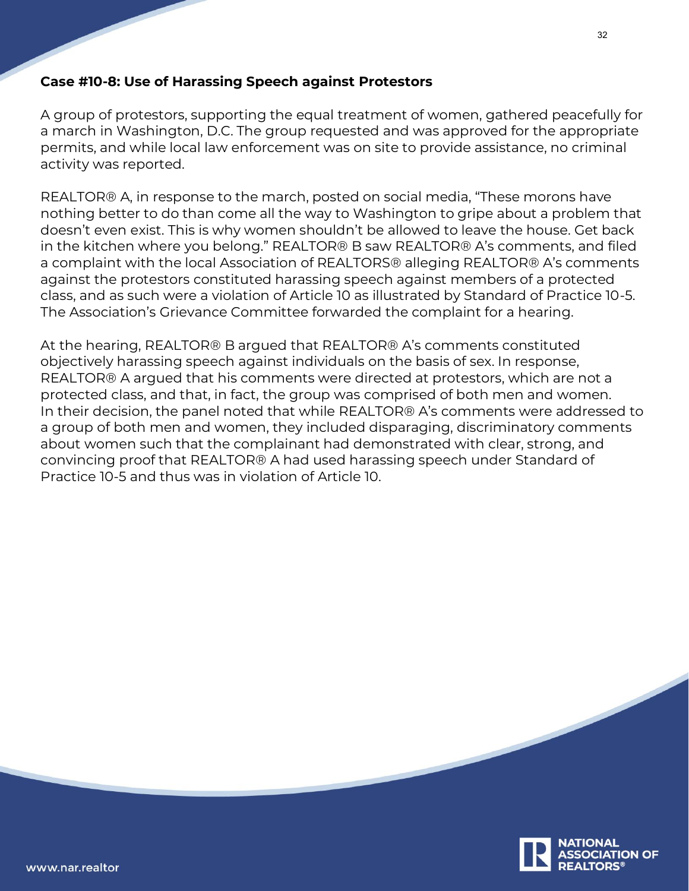## **Case #10-8: Use of Harassing Speech against Protestors**

A group of protestors, supporting the equal treatment of women, gathered peacefully for a march in Washington, D.C. The group requested and was approved for the appropriate permits, and while local law enforcement was on site to provide assistance, no criminal activity was reported.

REALTOR® A, in response to the march, posted on social media, "These morons have nothing better to do than come all the way to Washington to gripe about a problem that doesn't even exist. This is why women shouldn't be allowed to leave the house. Get back in the kitchen where you belong." REALTOR® B saw REALTOR® A's comments, and filed a complaint with the local Association of REALTORS® alleging REALTOR® A's comments against the protestors constituted harassing speech against members of a protected class, and as such were a violation of Article 10 as illustrated by Standard of Practice 10-5. The Association's Grievance Committee forwarded the complaint for a hearing.

At the hearing, REALTOR® B argued that REALTOR® A's comments constituted objectively harassing speech against individuals on the basis of sex. In response, REALTOR® A argued that his comments were directed at protestors, which are not a protected class, and that, in fact, the group was comprised of both men and women. In their decision, the panel noted that while REALTOR® A's comments were addressed to a group of both men and women, they included disparaging, discriminatory comments about women such that the complainant had demonstrated with clear, strong, and convincing proof that REALTOR® A had used harassing speech under Standard of Practice 10-5 and thus was in violation of Article 10.

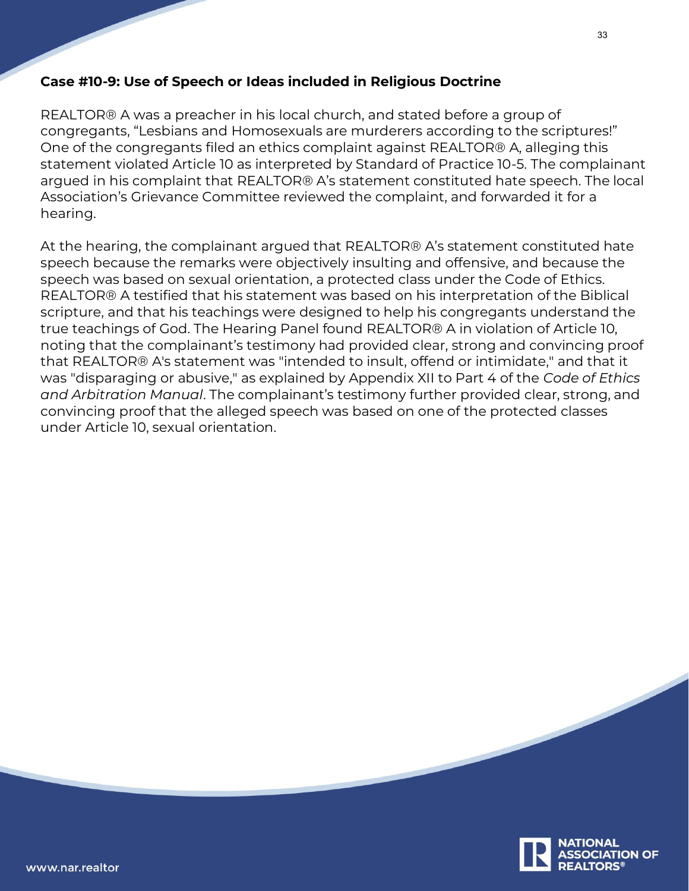## **Case #10-9: Use of Speech or Ideas included in Religious Doctrine**

REALTOR® A was a preacher in his local church, and stated before a group of congregants, "Lesbians and Homosexuals are murderers according to the scriptures!" One of the congregants filed an ethics complaint against REALTOR® A, alleging this statement violated Article 10 as interpreted by Standard of Practice 10-5. The complainant argued in his complaint that REALTOR® A's statement constituted hate speech. The local Association's Grievance Committee reviewed the complaint, and forwarded it for a hearing.

At the hearing, the complainant argued that REALTOR® A's statement constituted hate speech because the remarks were objectively insulting and offensive, and because the speech was based on sexual orientation, a protected class under the Code of Ethics. REALTOR® A testified that his statement was based on his interpretation of the Biblical scripture, and that his teachings were designed to help his congregants understand the true teachings of God. The Hearing Panel found REALTOR® A in violation of Article 10, noting that the complainant's testimony had provided clear, strong and convincing proof that REALTOR® A's statement was "intended to insult, offend or intimidate," and that it was "disparaging or abusive," as explained by Appendix XII to Part 4 of the *Code of Ethics and Arbitration Manual*. The complainant's testimony further provided clear, strong, and convincing proof that the alleged speech was based on one of the protected classes under Article 10, sexual orientation.

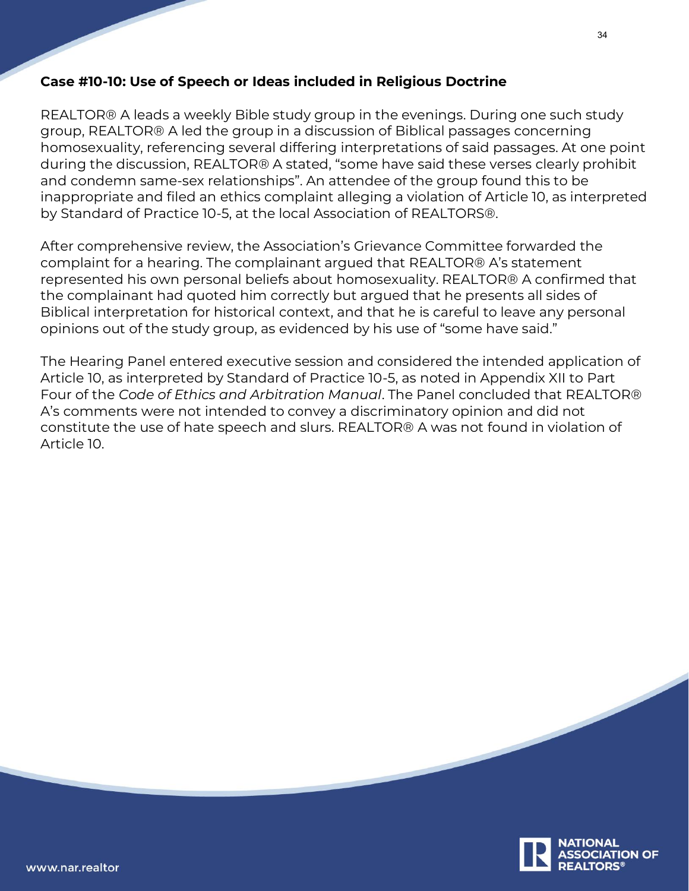## **Case #10-10: Use of Speech or Ideas included in Religious Doctrine**

REALTOR® A leads a weekly Bible study group in the evenings. During one such study group, REALTOR® A led the group in a discussion of Biblical passages concerning homosexuality, referencing several differing interpretations of said passages. At one point during the discussion, REALTOR® A stated, "some have said these verses clearly prohibit and condemn same-sex relationships". An attendee of the group found this to be inappropriate and filed an ethics complaint alleging a violation of Article 10, as interpreted by Standard of Practice 10-5, at the local Association of REALTORS®.

After comprehensive review, the Association's Grievance Committee forwarded the complaint for a hearing. The complainant argued that REALTOR® A's statement represented his own personal beliefs about homosexuality. REALTOR® A confirmed that the complainant had quoted him correctly but argued that he presents all sides of Biblical interpretation for historical context, and that he is careful to leave any personal opinions out of the study group, as evidenced by his use of "some have said."

The Hearing Panel entered executive session and considered the intended application of Article 10, as interpreted by Standard of Practice 10-5, as noted in Appendix XII to Part Four of the *Code of Ethics and Arbitration Manual*. The Panel concluded that REALTOR® A's comments were not intended to convey a discriminatory opinion and did not constitute the use of hate speech and slurs. REALTOR® A was not found in violation of Article 10.

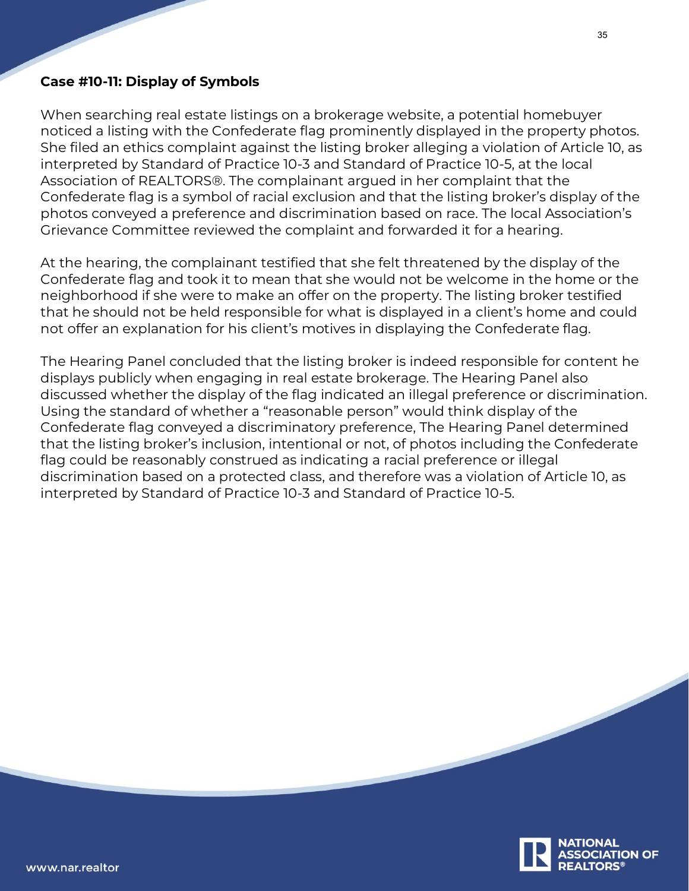## **Case #10-11: Display of Symbols**

When searching real estate listings on a brokerage website, a potential homebuyer noticed a listing with the Confederate flag prominently displayed in the property photos. She filed an ethics complaint against the listing broker alleging a violation of Article 10, as interpreted by Standard of Practice 10-3 and Standard of Practice 10-5, at the local Association of REALTORS®. The complainant argued in her complaint that the Confederate flag is a symbol of racial exclusion and that the listing broker's display of the photos conveyed a preference and discrimination based on race. The local Association's Grievance Committee reviewed the complaint and forwarded it for a hearing.

At the hearing, the complainant testified that she felt threatened by the display of the Confederate flag and took it to mean that she would not be welcome in the home or the neighborhood if she were to make an offer on the property. The listing broker testified that he should not be held responsible for what is displayed in a client's home and could not offer an explanation for his client's motives in displaying the Confederate flag.

The Hearing Panel concluded that the listing broker is indeed responsible for content he displays publicly when engaging in real estate brokerage. The Hearing Panel also discussed whether the display of the flag indicated an illegal preference or discrimination. Using the standard of whether a "reasonable person" would think display of the Confederate flag conveyed a discriminatory preference, The Hearing Panel determined that the listing broker's inclusion, intentional or not, of photos including the Confederate flag could be reasonably construed as indicating a racial preference or illegal discrimination based on a protected class, and therefore was a violation of Article 10, as interpreted by Standard of Practice 10-3 and Standard of Practice 10-5.

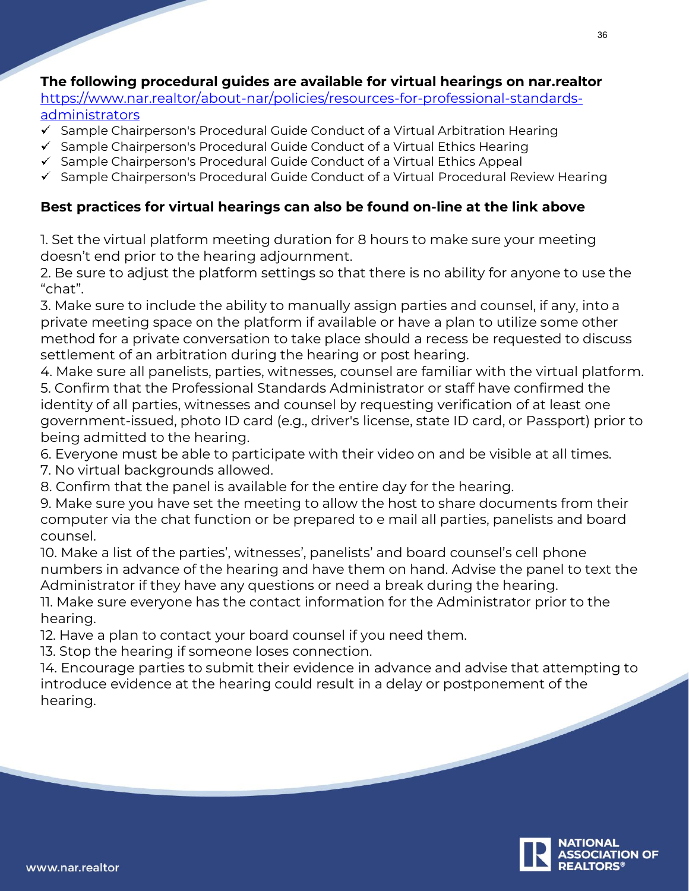## **The following procedural guides are available for virtual hearings on nar.realtor**

[https://www.nar.realtor/about-nar/policies/resources-for-professional-standards](https://www.nar.realtor/about-nar/policies/resources-for-professional-standards-administrators)[administrators](https://www.nar.realtor/about-nar/policies/resources-for-professional-standards-administrators)

- $\checkmark$  Sample Chairperson's Procedural Guide Conduct of a Virtual Arbitration Hearing
- $\checkmark$  Sample Chairperson's Procedural Guide Conduct of a Virtual Ethics Hearing
- $\checkmark$  Sample Chairperson's Procedural Guide Conduct of a Virtual Ethics Appeal
- $\checkmark$  Sample Chairperson's Procedural Guide Conduct of a Virtual Procedural Review Hearing

## **Best practices for virtual hearings can also be found on-line at the link above**

1. Set the virtual platform meeting duration for 8 hours to make sure your meeting doesn't end prior to the hearing adjournment.

2. Be sure to adjust the platform settings so that there is no ability for anyone to use the "chat".

3. Make sure to include the ability to manually assign parties and counsel, if any, into a private meeting space on the platform if available or have a plan to utilize some other method for a private conversation to take place should a recess be requested to discuss settlement of an arbitration during the hearing or post hearing.

4. Make sure all panelists, parties, witnesses, counsel are familiar with the virtual platform. 5. Confirm that the Professional Standards Administrator or staff have confirmed the identity of all parties, witnesses and counsel by requesting verification of at least one government-issued, photo ID card (e.g., driver's license, state ID card, or Passport) prior to being admitted to the hearing.

- 6. Everyone must be able to participate with their video on and be visible at all times.
- 7. No virtual backgrounds allowed.
- 8. Confirm that the panel is available for the entire day for the hearing.

9. Make sure you have set the meeting to allow the host to share documents from their computer via the chat function or be prepared to e mail all parties, panelists and board counsel.

10. Make a list of the parties', witnesses', panelists' and board counsel's cell phone numbers in advance of the hearing and have them on hand. Advise the panel to text the Administrator if they have any questions or need a break during the hearing.

11. Make sure everyone has the contact information for the Administrator prior to the hearing.

12. Have a plan to contact your board counsel if you need them.

13. Stop the hearing if someone loses connection.

14. Encourage parties to submit their evidence in advance and advise that attempting to introduce evidence at the hearing could result in a delay or postponement of the hearing.

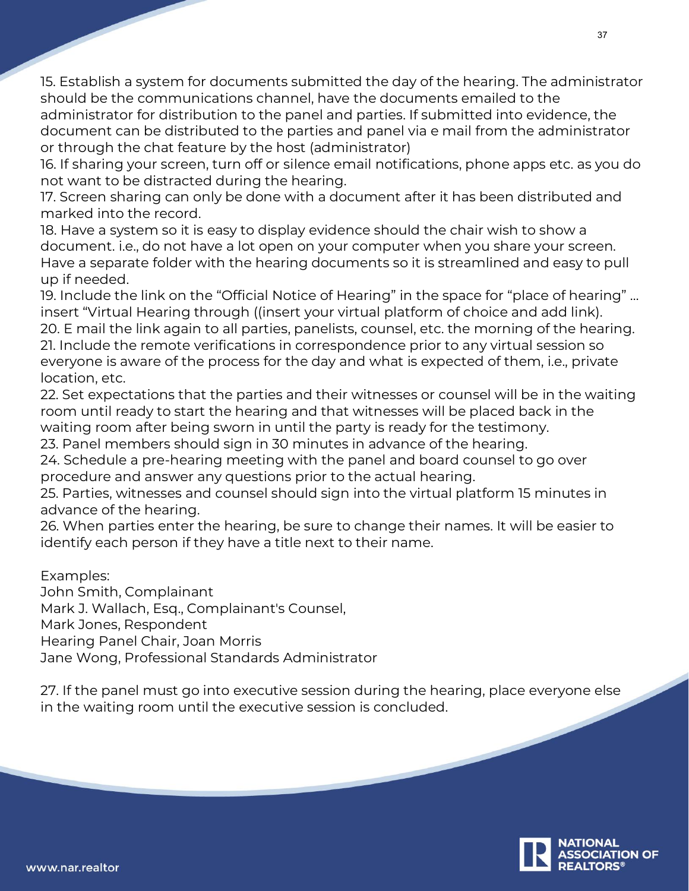15. Establish a system for documents submitted the day of the hearing. The administrator should be the communications channel, have the documents emailed to the administrator for distribution to the panel and parties. If submitted into evidence, the document can be distributed to the parties and panel via e mail from the administrator or through the chat feature by the host (administrator)

16. If sharing your screen, turn off or silence email notifications, phone apps etc. as you do not want to be distracted during the hearing.

17. Screen sharing can only be done with a document after it has been distributed and marked into the record.

18. Have a system so it is easy to display evidence should the chair wish to show a document. i.e., do not have a lot open on your computer when you share your screen. Have a separate folder with the hearing documents so it is streamlined and easy to pull up if needed.

19. Include the link on the "Official Notice of Hearing" in the space for "place of hearing" … insert "Virtual Hearing through ((insert your virtual platform of choice and add link). 20. E mail the link again to all parties, panelists, counsel, etc. the morning of the hearing. 21. Include the remote verifications in correspondence prior to any virtual session so everyone is aware of the process for the day and what is expected of them, i.e., private location, etc.

22. Set expectations that the parties and their witnesses or counsel will be in the waiting room until ready to start the hearing and that witnesses will be placed back in the waiting room after being sworn in until the party is ready for the testimony.

23. Panel members should sign in 30 minutes in advance of the hearing.

24. Schedule a pre-hearing meeting with the panel and board counsel to go over procedure and answer any questions prior to the actual hearing.

25. Parties, witnesses and counsel should sign into the virtual platform 15 minutes in advance of the hearing.

26. When parties enter the hearing, be sure to change their names. It will be easier to identify each person if they have a title next to their name.

Examples:

John Smith, Complainant Mark J. Wallach, Esq., Complainant's Counsel, Mark Jones, Respondent Hearing Panel Chair, Joan Morris Jane Wong, Professional Standards Administrator

27. If the panel must go into executive session during the hearing, place everyone else in the waiting room until the executive session is concluded.

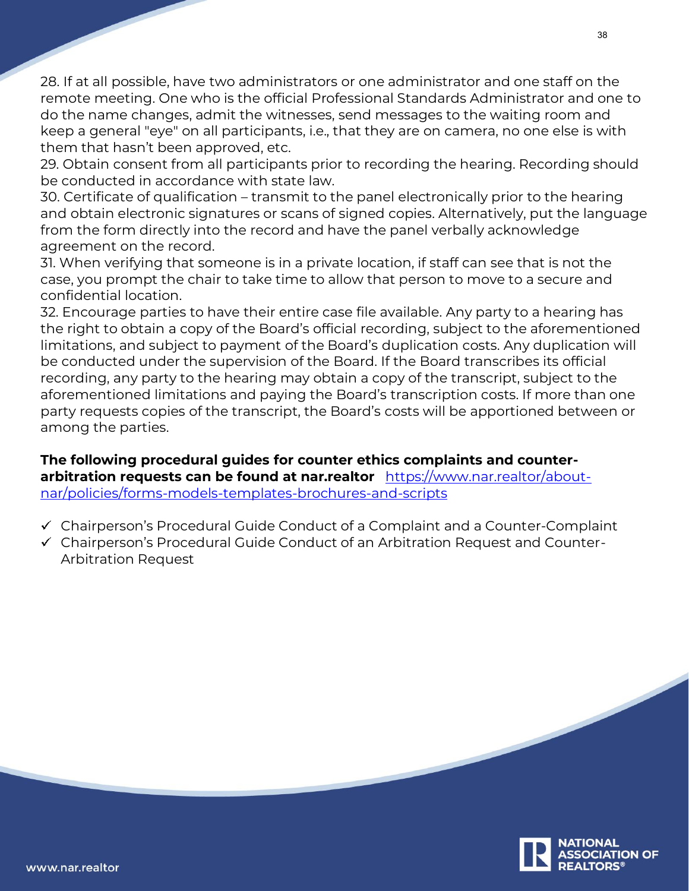28. If at all possible, have two administrators or one administrator and one staff on the remote meeting. One who is the official Professional Standards Administrator and one to do the name changes, admit the witnesses, send messages to the waiting room and keep a general "eye" on all participants, i.e., that they are on camera, no one else is with them that hasn't been approved, etc.

29. Obtain consent from all participants prior to recording the hearing. Recording should be conducted in accordance with state law.

30. Certificate of qualification – transmit to the panel electronically prior to the hearing and obtain electronic signatures or scans of signed copies. Alternatively, put the language from the form directly into the record and have the panel verbally acknowledge agreement on the record.

31. When verifying that someone is in a private location, if staff can see that is not the case, you prompt the chair to take time to allow that person to move to a secure and confidential location.

32. Encourage parties to have their entire case file available. Any party to a hearing has the right to obtain a copy of the Board's official recording, subject to the aforementioned limitations, and subject to payment of the Board's duplication costs. Any duplication will be conducted under the supervision of the Board. If the Board transcribes its official recording, any party to the hearing may obtain a copy of the transcript, subject to the aforementioned limitations and paying the Board's transcription costs. If more than one party requests copies of the transcript, the Board's costs will be apportioned between or among the parties.

## **The following procedural guides for counter ethics complaints and counterarbitration requests can be found at nar.realtor** [https://www.nar.realtor/about](https://www.nar.realtor/about-nar/policies/forms-models-templates-brochures-and-scripts)[nar/policies/forms-models-templates-brochures-and-scripts](https://www.nar.realtor/about-nar/policies/forms-models-templates-brochures-and-scripts)

- Chairperson's Procedural Guide Conduct of a Complaint and a Counter-Complaint
- Chairperson's Procedural Guide Conduct of an Arbitration Request and Counter-Arbitration Request

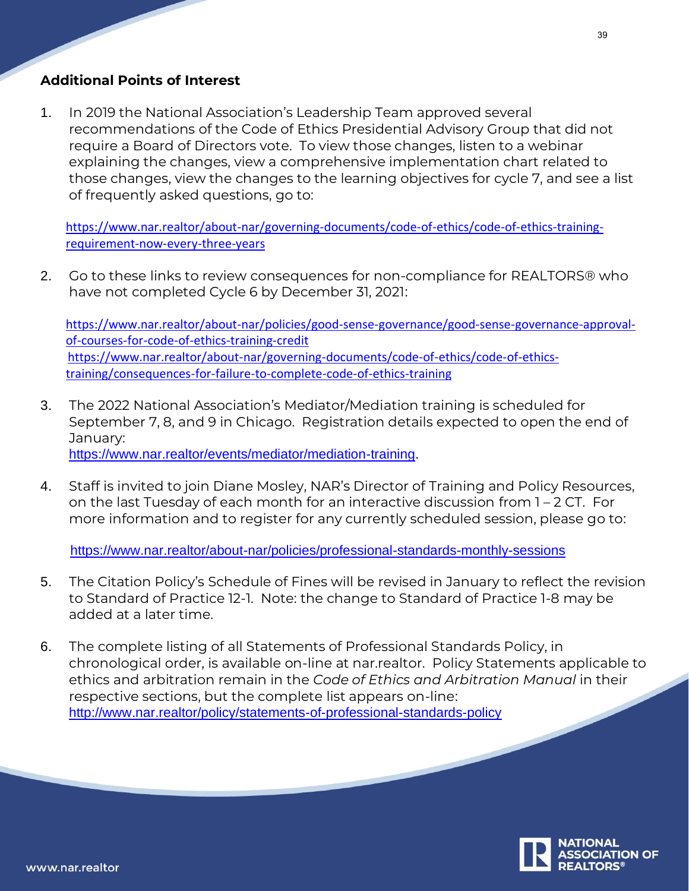## **Additional Points of Interest**

1. In 2019 the National Association's Leadership Team approved several recommendations of the Code of Ethics Presidential Advisory Group that did not require a Board of Directors vote. To view those changes, listen to a webinar explaining the changes, view a comprehensive implementation chart related to those changes, view the changes to the learning objectives for cycle 7, and see a list of frequently asked questions, go to:

[https://www.nar.realtor/about-nar/governing-documents/code-of-ethics/code-of-ethics-training](https://www.nar.realtor/about-nar/governing-documents/code-of-ethics/code-of-ethics-training-requirement-now-every-three-years)[requirement-now-every-three-years](https://www.nar.realtor/about-nar/governing-documents/code-of-ethics/code-of-ethics-training-requirement-now-every-three-years)

2. Go to these links to review consequences for non-compliance for REALTORS® who have not completed Cycle 6 by December 31, 2021:

[https://www.nar.realtor/about-nar/policies/good-sense-governance/good-sense-governance-approval](https://www.nar.realtor/about-nar/policies/good-sense-governance/good-sense-governance-approval-of-courses-for-code-of-ethics-training-credit)[of-courses-for-code-of-ethics-training-credit](https://www.nar.realtor/about-nar/policies/good-sense-governance/good-sense-governance-approval-of-courses-for-code-of-ethics-training-credit) [https://www.nar.realtor/about-nar/governing-documents/code-of-ethics/code-of-ethics](https://www.nar.realtor/about-nar/governing-documents/code-of-ethics/code-of-ethics-training/consequences-for-failure-to-complete-code-of-ethics-training)[training/consequences-for-failure-to-complete-code-of-ethics-training](https://www.nar.realtor/about-nar/governing-documents/code-of-ethics/code-of-ethics-training/consequences-for-failure-to-complete-code-of-ethics-training)

- 3. The 2022 National Association's Mediator/Mediation training is scheduled for September 7, 8, and 9 in Chicago. Registration details expected to open the end of January: [https://www.nar.realtor/events/mediator/mediation-training.](https://www.nar.realtor/events/mediator/mediation-training)
- 4. Staff is invited to join Diane Mosley, NAR's Director of Training and Policy Resources, on the last Tuesday of each month for an interactive discussion from 1 – 2 CT. For more information and to register for any currently scheduled session, please go to:

<https://www.nar.realtor/about-nar/policies/professional-standards-monthly-sessions>

- 5. The Citation Policy's Schedule of Fines will be revised in January to reflect the revision to Standard of Practice 12-1. Note: the change to Standard of Practice 1-8 may be added at a later time.
- 6. The complete listing of all Statements of Professional Standards Policy, in chronological order, is available on-line at nar.realtor. Policy Statements applicable to ethics and arbitration remain in the *Code of Ethics and Arbitration Manual* in their respective sections, but the complete list appears on-line: <http://www.nar.realtor/policy/statements-of-professional-standards-policy>

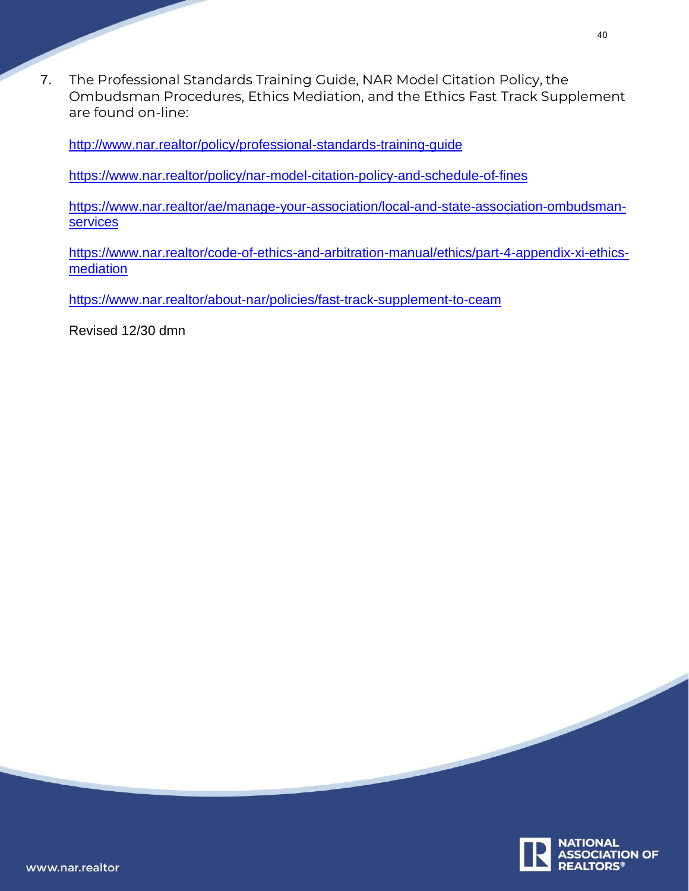7. The Professional Standards Training Guide, NAR Model Citation Policy, the Ombudsman Procedures, Ethics Mediation, and the Ethics Fast Track Supplement are found on-line:

<http://www.nar.realtor/policy/professional-standards-training-guide>

<https://www.nar.realtor/policy/nar-model-citation-policy-and-schedule-of-fines>

[https://www.nar.realtor/ae/manage-your-association/local-and-state-association-ombudsman](https://www.nar.realtor/ae/manage-your-association/local-and-state-association-ombudsman-services)[services](https://www.nar.realtor/ae/manage-your-association/local-and-state-association-ombudsman-services)

[https://www.nar.realtor/code-of-ethics-and-arbitration-manual/ethics/part-4-appendix-xi-ethics](https://www.nar.realtor/code-of-ethics-and-arbitration-manual/ethics/part-4-appendix-xi-ethics-mediation)[mediation](https://www.nar.realtor/code-of-ethics-and-arbitration-manual/ethics/part-4-appendix-xi-ethics-mediation)

<https://www.nar.realtor/about-nar/policies/fast-track-supplement-to-ceam>

Revised 12/30 dmn